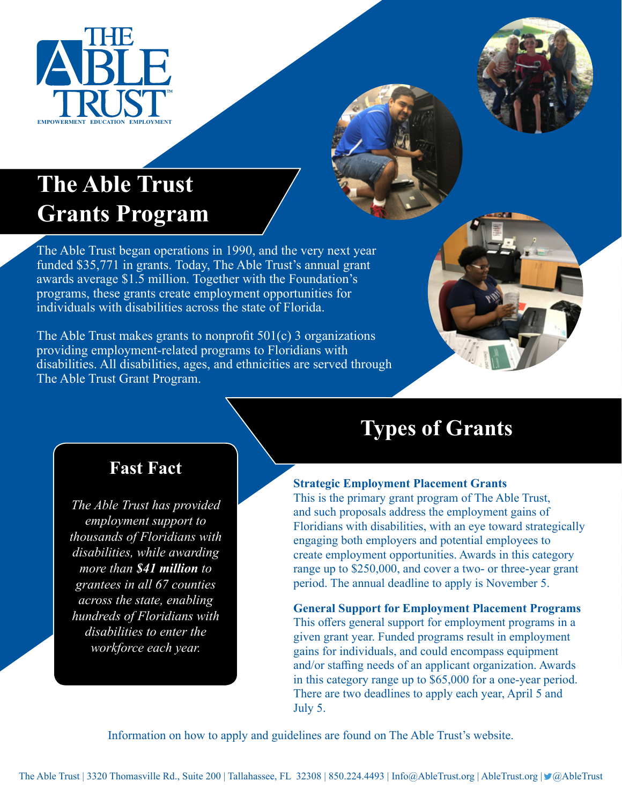



# **The Able Trust Grants Program**

The Able Trust began operations in 1990, and the very next year funded \$35,771 in grants. Today, The Able Trust's annual grant awards average \$1.5 million. Together with the Foundation's programs, these grants create employment opportunities for individuals with disabilities across the state of Florida.

The Able Trust makes grants to nonprofit 501(c) 3 organizations providing employment-related programs to Floridians with disabilities. All disabilities, ages, and ethnicities are served through The Able Trust Grant Program.



### **Fast Fact**

*The Able Trust has provided employment support to thousands of Floridians with disabilities, while awarding more than \$41 million to grantees in all 67 counties across the state, enabling hundreds of Floridians with disabilities to enter the workforce each year.* 

## **Types of Grants**

#### **Strategic Employment Placement Grants**

This is the primary grant program of The Able Trust, and such proposals address the employment gains of Floridians with disabilities, with an eye toward strategically engaging both employers and potential employees to create employment opportunities. Awards in this category range up to \$250,000, and cover a two- or three-year grant period. The annual deadline to apply is November 5.

**General Support for Employment Placement Programs**  This offers general support for employment programs in a given grant year. Funded programs result in employment gains for individuals, and could encompass equipment and/or staffing needs of an applicant organization. Awards in this category range up to \$65,000 for a one-year period. There are two deadlines to apply each year, April 5 and July 5.

Information on how to apply and guidelines are found on The Able Trust's website.